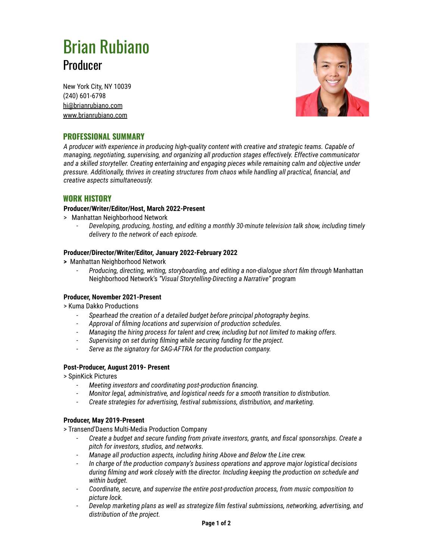# Brian Rubiano Producer

New York City, NY 10039 (240) 601-6798 hi@brianrubiano.com www.brianrubiano.com



# **PROFESSIONAL SUMMARY**

*A producer with experience in producing high-quality content with creative and strategic teams. Capable of managing, negotiating, supervising, and organizing all production stages effectively. Effective communicator and a skilled storyteller. Creating entertaining and engaging pieces while remaining calm and objective under pressure. Additionally, thrives in creating structures from chaos while handling all practical, financial, and creative aspects simultaneously.*

### **WORK HISTORY**

#### **Producer/Writer/Editor/Host, March 2022-Present**

- > Manhattan Neighborhood Network
	- *- Developing, producing, hosting, and editing a monthly 30-minute television talk show, including timely delivery to the network of each episode.*

#### **Producer/Director/Writer/Editor, January 2022-February 2022**

- **>** Manhattan Neighborhood Network
	- *- Producing, directing, writing, storyboarding, and editing a non-dialogue short film through* Manhattan Neighborhood Network's *"Visual Storytelling-Directing a Narrative"* program

#### **Producer, November 2021-Present**

> Kuma Dakko Productions

- *- Spearhead the creation of a detailed budget before principal photography begins.*
- *- Approval of filming locations and supervision of production schedules.*
- *- Managing the hiring process for talent and crew, including but not limited to making offers.*
- *- Supervising on set during filming while securing funding for the project.*
- *- Serve as the signatory for SAG-AFTRA for the production company.*

#### **Post-Producer, August 2019- Present**

> SpinKick Pictures

- *- Meeting investors and coordinating post-production financing.*
- *- Monitor legal, administrative, and logistical needs for a smooth transition to distribution.*
- *- Create strategies for advertising, festival submissions, distribution, and marketing.*

#### **Producer, May 2019-Present**

- > Transend'Daens Multi-Media Production Company
	- *- Create a budget and secure funding from private investors, grants, and fiscal sponsorships. Create a pitch for investors, studios, and networks.*
	- *- Manage all production aspects, including hiring Above and Below the Line crew.*
	- *- In charge of the production company's business operations and approve major logistical decisions during filming and work closely with the director. Including keeping the production on schedule and within budget.*
	- *- Coordinate, secure, and supervise the entire post-production process, from music composition to picture lock.*
	- *- Develop marketing plans as well as strategize film festival submissions, networking, advertising, and distribution of the project.*